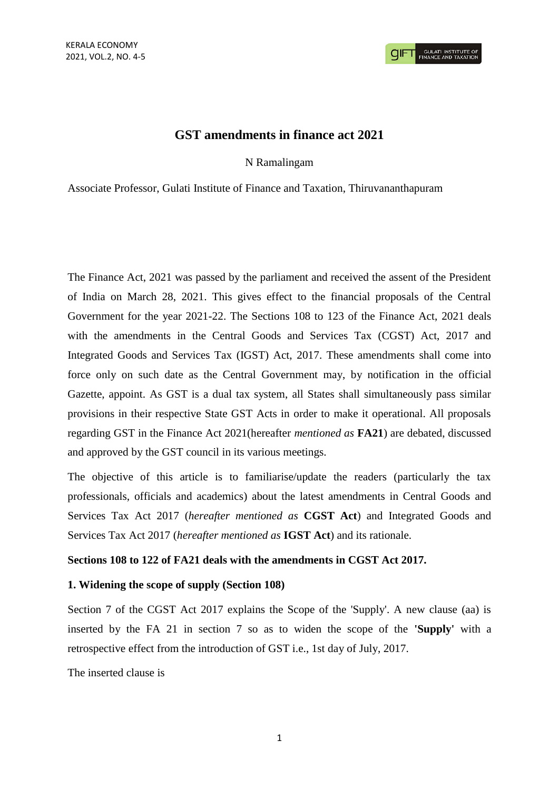## **GST amendments in finance act 2021**

N Ramalingam

Associate Professor, Gulati Institute of Finance and Taxation, Thiruvananthapuram

The Finance Act, 2021 was passed by the parliament and received the assent of the President of India on March 28, 2021. This gives effect to the financial proposals of the Central Government for the year 2021-22. The Sections 108 to 123 of the Finance Act, 2021 deals with the amendments in the Central Goods and Services Tax (CGST) Act, 2017 and Integrated Goods and Services Tax (IGST) Act, 2017. These amendments shall come into force only on such date as the Central Government may, by notification in the official Gazette, appoint. As GST is a dual tax system, all States shall simultaneously pass similar provisions in their respective State GST Acts in order to make it operational. All proposals regarding GST in the Finance Act 2021(hereafter *mentioned as* **FA21**) are debated, discussed and approved by the GST council in its various meetings.

The objective of this article is to familiarise/update the readers (particularly the tax professionals, officials and academics) about the latest amendments in Central Goods and Services Tax Act 2017 (*hereafter mentioned as* **CGST Act**) and Integrated Goods and Services Tax Act 2017 (*hereafter mentioned as* **IGST Act**) and its rationale.

### **Sections 108 to 122 of FA21 deals with the amendments in CGST Act 2017.**

#### **1. Widening the scope of supply (Section 108)**

Section 7 of the CGST Act 2017 explains the Scope of the 'Supply'. A new clause (aa) is inserted by the FA 21 in section 7 so as to widen the scope of the **'Supply'** with a retrospective effect from the introduction of GST i.e., 1st day of July, 2017.

The inserted clause is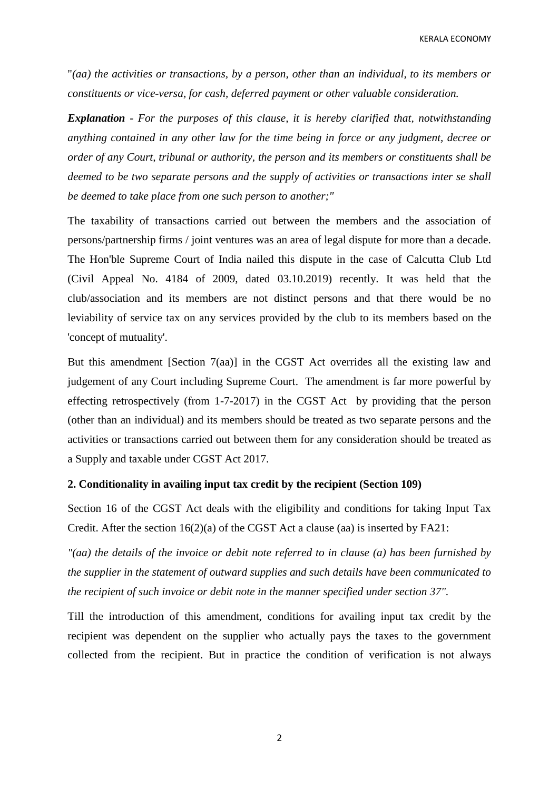KERALA ECONOMY

"*(aa) the activities or transactions, by a person, other than an individual, to its members or constituents or vice-versa, for cash, deferred payment or other valuable consideration.*

*Explanation* - *For the purposes of this clause, it is hereby clarified that, notwithstanding anything contained in any other law for the time being in force or any judgment, decree or order of any Court, tribunal or authority, the person and its members or constituents shall be deemed to be two separate persons and the supply of activities or transactions inter se shall be deemed to take place from one such person to another;"*

The taxability of transactions carried out between the members and the association of persons/partnership firms / joint ventures was an area of legal dispute for more than a decade. The Hon'ble Supreme Court of India nailed this dispute in the case of Calcutta Club Ltd (Civil Appeal No. 4184 of 2009, dated 03.10.2019) recently. It was held that the club/association and its members are not distinct persons and that there would be no leviability of service tax on any services provided by the club to its members based on the 'concept of mutuality'.

But this amendment [Section 7(aa)] in the CGST Act overrides all the existing law and judgement of any Court including Supreme Court. The amendment is far more powerful by effecting retrospectively (from 1-7-2017) in the CGST Act by providing that the person (other than an individual) and its members should be treated as two separate persons and the activities or transactions carried out between them for any consideration should be treated as a Supply and taxable under CGST Act 2017.

### **2. Conditionality in availing input tax credit by the recipient (Section 109)**

Section 16 of the CGST Act deals with the eligibility and conditions for taking Input Tax Credit. After the section 16(2)(a) of the CGST Act a clause (aa) is inserted by FA21:

*"(aa) the details of the invoice or debit note referred to in clause (a) has been furnished by the supplier in the statement of outward supplies and such details have been communicated to the recipient of such invoice or debit note in the manner specified under section 37".*

Till the introduction of this amendment, conditions for availing input tax credit by the recipient was dependent on the supplier who actually pays the taxes to the government collected from the recipient. But in practice the condition of verification is not always

2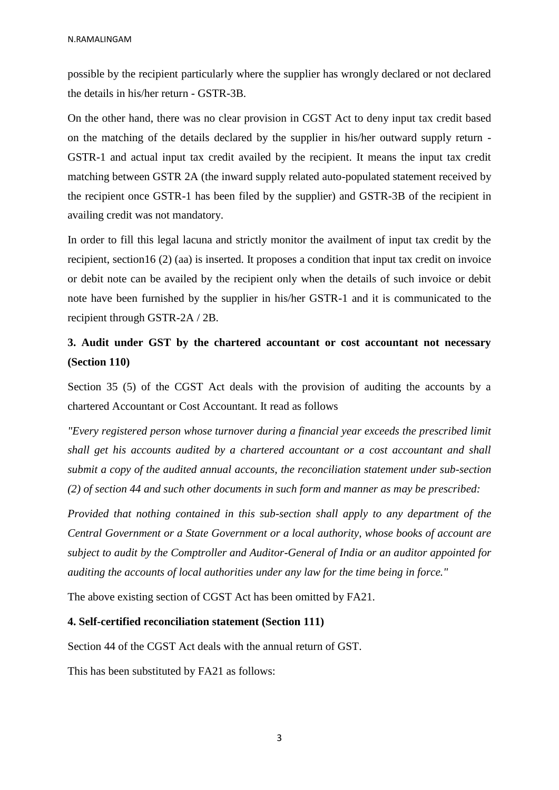possible by the recipient particularly where the supplier has wrongly declared or not declared the details in his/her return - GSTR-3B.

On the other hand, there was no clear provision in CGST Act to deny input tax credit based on the matching of the details declared by the supplier in his/her outward supply return - GSTR-1 and actual input tax credit availed by the recipient. It means the input tax credit matching between GSTR 2A (the inward supply related auto-populated statement received by the recipient once GSTR-1 has been filed by the supplier) and GSTR-3B of the recipient in availing credit was not mandatory.

In order to fill this legal lacuna and strictly monitor the availment of input tax credit by the recipient, section16 (2) (aa) is inserted. It proposes a condition that input tax credit on invoice or debit note can be availed by the recipient only when the details of such invoice or debit note have been furnished by the supplier in his/her GSTR-1 and it is communicated to the recipient through GSTR-2A / 2B.

# **3. Audit under GST by the chartered accountant or cost accountant not necessary (Section 110)**

Section 35 (5) of the CGST Act deals with the provision of auditing the accounts by a chartered Accountant or Cost Accountant. It read as follows

*"Every registered person whose turnover during a financial year exceeds the prescribed limit shall get his accounts audited by a chartered accountant or a cost accountant and shall submit a copy of the audited annual accounts, the reconciliation statement under sub-section (2) of section 44 and such other documents in such form and manner as may be prescribed:*

*Provided that nothing contained in this sub-section shall apply to any department of the Central Government or a State Government or a local authority, whose books of account are subject to audit by the Comptroller and Auditor-General of India or an auditor appointed for auditing the accounts of local authorities under any law for the time being in force."*

The above existing section of CGST Act has been omitted by FA21.

### **4. Self-certified reconciliation statement (Section 111)**

Section 44 of the CGST Act deals with the annual return of GST.

This has been substituted by FA21 as follows: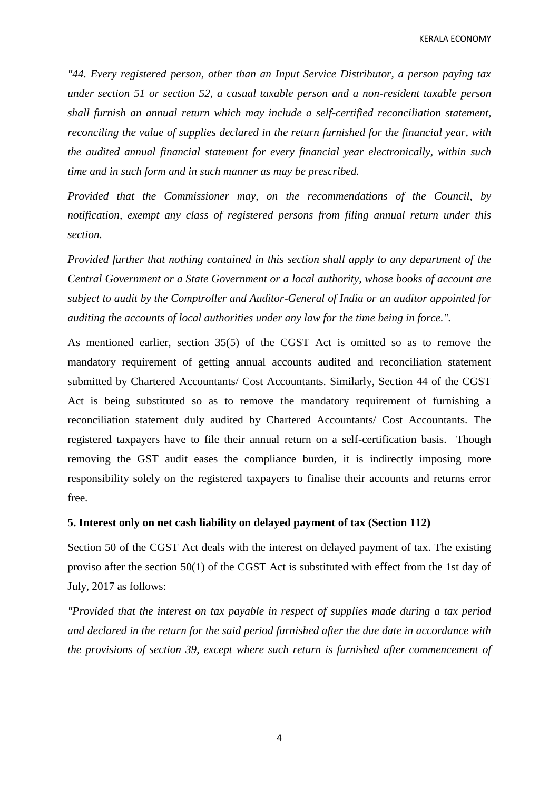KERALA ECONOMY

*"44. Every registered person, other than an Input Service Distributor, a person paying tax under section 51 or section 52, a casual taxable person and a non-resident taxable person shall furnish an annual return which may include a self-certified reconciliation statement, reconciling the value of supplies declared in the return furnished for the financial year, with the audited annual financial statement for every financial year electronically, within such time and in such form and in such manner as may be prescribed.*

*Provided that the Commissioner may, on the recommendations of the Council, by notification, exempt any class of registered persons from filing annual return under this section.*

*Provided further that nothing contained in this section shall apply to any department of the Central Government or a State Government or a local authority, whose books of account are subject to audit by the Comptroller and Auditor-General of India or an auditor appointed for auditing the accounts of local authorities under any law for the time being in force.".*

As mentioned earlier, section 35(5) of the CGST Act is omitted so as to remove the mandatory requirement of getting annual accounts audited and reconciliation statement submitted by Chartered Accountants/ Cost Accountants. Similarly, Section 44 of the CGST Act is being substituted so as to remove the mandatory requirement of furnishing a reconciliation statement duly audited by Chartered Accountants/ Cost Accountants. The registered taxpayers have to file their annual return on a self-certification basis. Though removing the GST audit eases the compliance burden, it is indirectly imposing more responsibility solely on the registered taxpayers to finalise their accounts and returns error free.

### **5. Interest only on net cash liability on delayed payment of tax (Section 112)**

Section 50 of the CGST Act deals with the interest on delayed payment of tax. The existing proviso after the section 50(1) of the CGST Act is substituted with effect from the 1st day of July, 2017 as follows:

*"Provided that the interest on tax payable in respect of supplies made during a tax period and declared in the return for the said period furnished after the due date in accordance with the provisions of section 39, except where such return is furnished after commencement of* 

4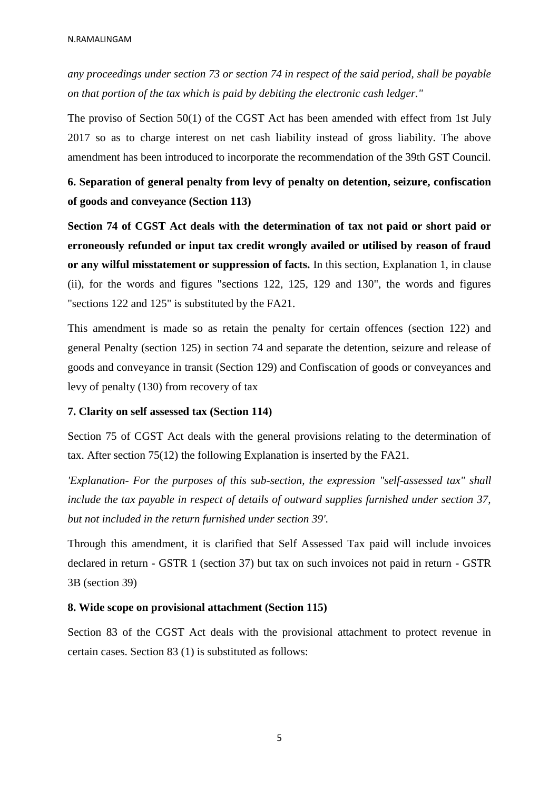*any proceedings under section 73 or section 74 in respect of the said period, shall be payable on that portion of the tax which is paid by debiting the electronic cash ledger."*

The proviso of Section 50(1) of the CGST Act has been amended with effect from 1st July 2017 so as to charge interest on net cash liability instead of gross liability. The above amendment has been introduced to incorporate the recommendation of the 39th GST Council.

**6. Separation of general penalty from levy of penalty on detention, seizure, confiscation of goods and conveyance (Section 113)**

**Section 74 of CGST Act deals with the determination of tax not paid or short paid or erroneously refunded or input tax credit wrongly availed or utilised by reason of fraud or any wilful misstatement or suppression of facts.** In this section, Explanation 1, in clause (ii), for the words and figures "sections 122, 125, 129 and 130", the words and figures "sections 122 and 125" is substituted by the FA21.

This amendment is made so as retain the penalty for certain offences (section 122) and general Penalty (section 125) in section 74 and separate the detention, seizure and release of goods and conveyance in transit (Section 129) and Confiscation of goods or conveyances and levy of penalty (130) from recovery of tax

#### **7. Clarity on self assessed tax (Section 114)**

Section 75 of CGST Act deals with the general provisions relating to the determination of tax. After section 75(12) the following Explanation is inserted by the FA21.

*'Explanation- For the purposes of this sub-section, the expression "self-assessed tax" shall include the tax payable in respect of details of outward supplies furnished under section 37, but not included in the return furnished under section 39'.*

Through this amendment, it is clarified that Self Assessed Tax paid will include invoices declared in return - GSTR 1 (section 37) but tax on such invoices not paid in return - GSTR 3B (section 39)

#### **8. Wide scope on provisional attachment (Section 115)**

Section 83 of the CGST Act deals with the provisional attachment to protect revenue in certain cases. Section 83 (1) is substituted as follows: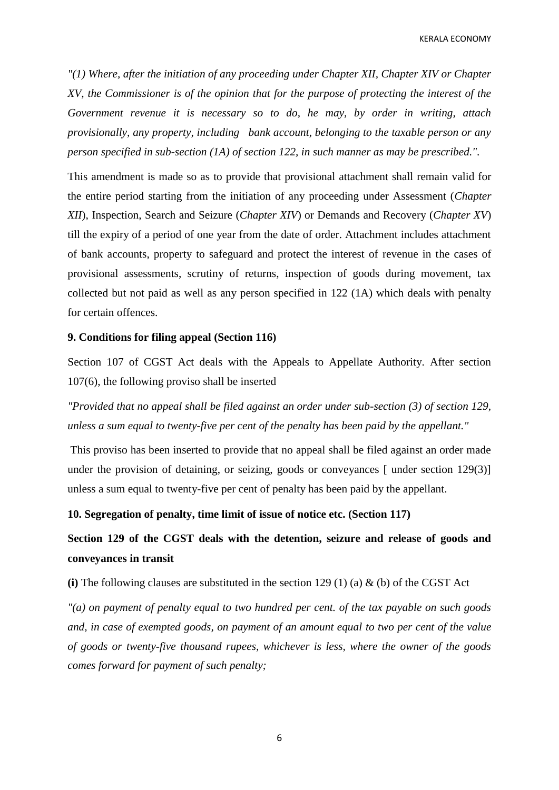KERALA ECONOMY

*"(1) Where, after the initiation of any proceeding under Chapter XII, Chapter XIV or Chapter XV, the Commissioner is of the opinion that for the purpose of protecting the interest of the Government revenue it is necessary so to do, he may, by order in writing, attach provisionally, any property, including bank account, belonging to the taxable person or any person specified in sub-section (1A) of section 122, in such manner as may be prescribed.".*

This amendment is made so as to provide that provisional attachment shall remain valid for the entire period starting from the initiation of any proceeding under Assessment (*Chapter XII*), Inspection, Search and Seizure (*Chapter XIV*) or Demands and Recovery (*Chapter XV*) till the expiry of a period of one year from the date of order. Attachment includes attachment of bank accounts, property to safeguard and protect the interest of revenue in the cases of provisional assessments, scrutiny of returns, inspection of goods during movement, tax collected but not paid as well as any person specified in 122 (1A) which deals with penalty for certain offences.

#### **9. Conditions for filing appeal (Section 116)**

Section 107 of CGST Act deals with the Appeals to Appellate Authority. After section 107(6), the following proviso shall be inserted

*"Provided that no appeal shall be filed against an order under sub-section (3) of section 129, unless a sum equal to twenty-five per cent of the penalty has been paid by the appellant."*

This proviso has been inserted to provide that no appeal shall be filed against an order made under the provision of detaining, or seizing, goods or conveyances [ under section 129(3)] unless a sum equal to twenty-five per cent of penalty has been paid by the appellant.

### **10. Segregation of penalty, time limit of issue of notice etc. (Section 117)**

**Section 129 of the CGST deals with the detention, seizure and release of goods and conveyances in transit** 

**(i)** The following clauses are substituted in the section 129 (1) (a) & (b) of the CGST Act

*"(a) on payment of penalty equal to two hundred per cent. of the tax payable on such goods and, in case of exempted goods, on payment of an amount equal to two per cent of the value of goods or twenty-five thousand rupees, whichever is less, where the owner of the goods comes forward for payment of such penalty;*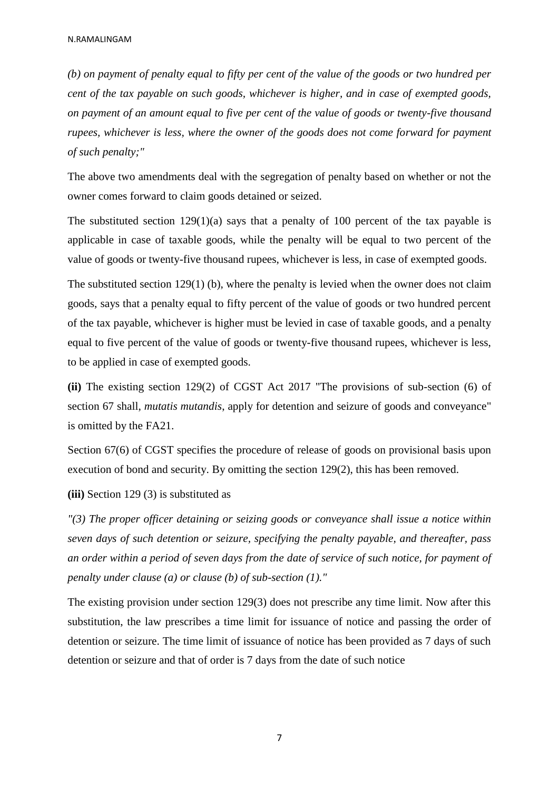*(b) on payment of penalty equal to fifty per cent of the value of the goods or two hundred per cent of the tax payable on such goods, whichever is higher, and in case of exempted goods, on payment of an amount equal to five per cent of the value of goods or twenty-five thousand rupees, whichever is less, where the owner of the goods does not come forward for payment of such penalty;"*

The above two amendments deal with the segregation of penalty based on whether or not the owner comes forward to claim goods detained or seized.

The substituted section  $129(1)(a)$  says that a penalty of 100 percent of the tax payable is applicable in case of taxable goods, while the penalty will be equal to two percent of the value of goods or twenty-five thousand rupees, whichever is less, in case of exempted goods.

The substituted section  $129(1)$  (b), where the penalty is levied when the owner does not claim goods, says that a penalty equal to fifty percent of the value of goods or two hundred percent of the tax payable, whichever is higher must be levied in case of taxable goods, and a penalty equal to five percent of the value of goods or twenty-five thousand rupees, whichever is less, to be applied in case of exempted goods.

**(ii)** The existing section 129(2) of CGST Act 2017 "The provisions of sub-section (6) of section 67 shall, *mutatis mutandis*, apply for detention and seizure of goods and conveyance" is omitted by the FA21.

Section 67(6) of CGST specifies the procedure of release of goods on provisional basis upon execution of bond and security. By omitting the section 129(2), this has been removed.

**(iii)** Section 129 (3) is substituted as

*"(3) The proper officer detaining or seizing goods or conveyance shall issue a notice within seven days of such detention or seizure, specifying the penalty payable, and thereafter, pass an order within a period of seven days from the date of service of such notice, for payment of penalty under clause (a) or clause (b) of sub-section (1)."*

The existing provision under section 129(3) does not prescribe any time limit. Now after this substitution, the law prescribes a time limit for issuance of notice and passing the order of detention or seizure. The time limit of issuance of notice has been provided as 7 days of such detention or seizure and that of order is 7 days from the date of such notice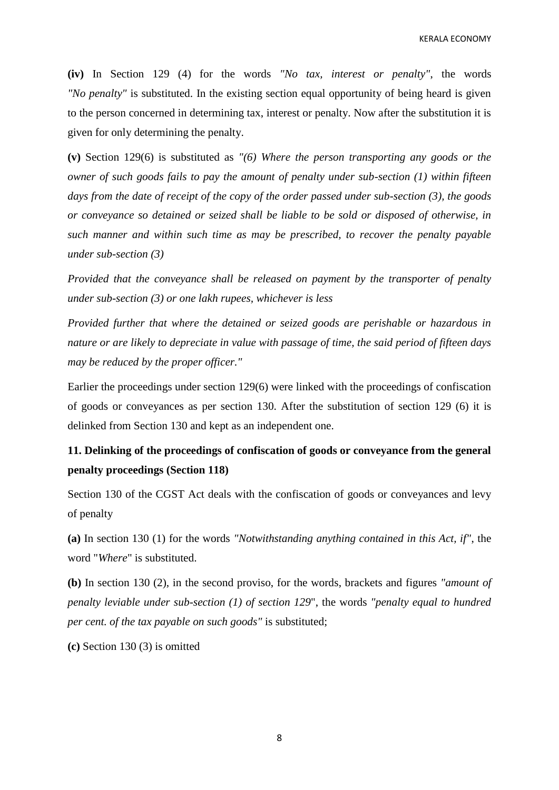**(iv)** In Section 129 (4) for the words *"No tax, interest or penalty"*, the words *"No penalty"* is substituted. In the existing section equal opportunity of being heard is given to the person concerned in determining tax, interest or penalty. Now after the substitution it is given for only determining the penalty.

**(v)** Section 129(6) is substituted as *"(6) Where the person transporting any goods or the owner of such goods fails to pay the amount of penalty under sub-section (1) within fifteen days from the date of receipt of the copy of the order passed under sub-section (3), the goods or conveyance so detained or seized shall be liable to be sold or disposed of otherwise, in such manner and within such time as may be prescribed, to recover the penalty payable under sub-section (3)*

*Provided that the conveyance shall be released on payment by the transporter of penalty under sub-section (3) or one lakh rupees, whichever is less*

*Provided further that where the detained or seized goods are perishable or hazardous in nature or are likely to depreciate in value with passage of time, the said period of fifteen days may be reduced by the proper officer."*

Earlier the proceedings under section 129(6) were linked with the proceedings of confiscation of goods or conveyances as per section 130. After the substitution of section 129 (6) it is delinked from Section 130 and kept as an independent one.

# **11. Delinking of the proceedings of confiscation of goods or conveyance from the general penalty proceedings (Section 118)**

Section 130 of the CGST Act deals with the confiscation of goods or conveyances and levy of penalty

**(a)** In section 130 (1) for the words *"Notwithstanding anything contained in this Act, if"*, the word "*Where*" is substituted.

**(b)** In section 130 (2), in the second proviso, for the words, brackets and figures *"amount of penalty leviable under sub-section (1) of section 129*", the words *"penalty equal to hundred per cent. of the tax payable on such goods"* is substituted;

**(c)** Section 130 (3) is omitted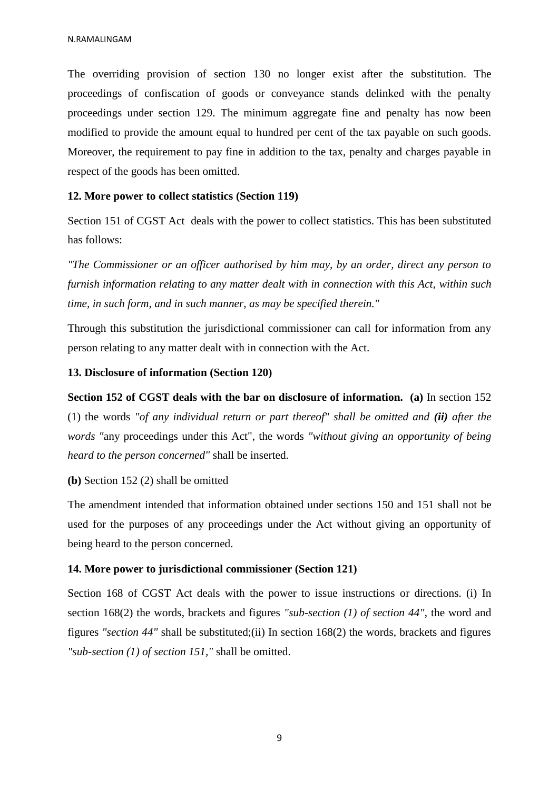The overriding provision of section 130 no longer exist after the substitution. The proceedings of confiscation of goods or conveyance stands delinked with the penalty proceedings under section 129. The minimum aggregate fine and penalty has now been modified to provide the amount equal to hundred per cent of the tax payable on such goods. Moreover, the requirement to pay fine in addition to the tax, penalty and charges payable in respect of the goods has been omitted.

#### **12. More power to collect statistics (Section 119)**

Section 151 of CGST Act deals with the power to collect statistics. This has been substituted has follows:

*"The Commissioner or an officer authorised by him may, by an order, direct any person to furnish information relating to any matter dealt with in connection with this Act, within such time, in such form, and in such manner, as may be specified therein."*

Through this substitution the jurisdictional commissioner can call for information from any person relating to any matter dealt with in connection with the Act.

#### **13. Disclosure of information (Section 120)**

**Section 152 of CGST deals with the bar on disclosure of information. (a)** In section 152 (1) the words *"of any individual return or part thereof" shall be omitted and (ii) after the words "*any proceedings under this Act", the words *"without giving an opportunity of being heard to the person concerned"* shall be inserted.

**(b)** Section 152 (2) shall be omitted

The amendment intended that information obtained under sections 150 and 151 shall not be used for the purposes of any proceedings under the Act without giving an opportunity of being heard to the person concerned.

#### **14. More power to jurisdictional commissioner (Section 121)**

Section 168 of CGST Act deals with the power to issue instructions or directions. (i) In section 168(2) the words, brackets and figures *"sub-section (1) of section 44"*, the word and figures *"section 44"* shall be substituted;(ii) In section 168(2) the words, brackets and figures *"sub-section (1) of section 151,"* shall be omitted.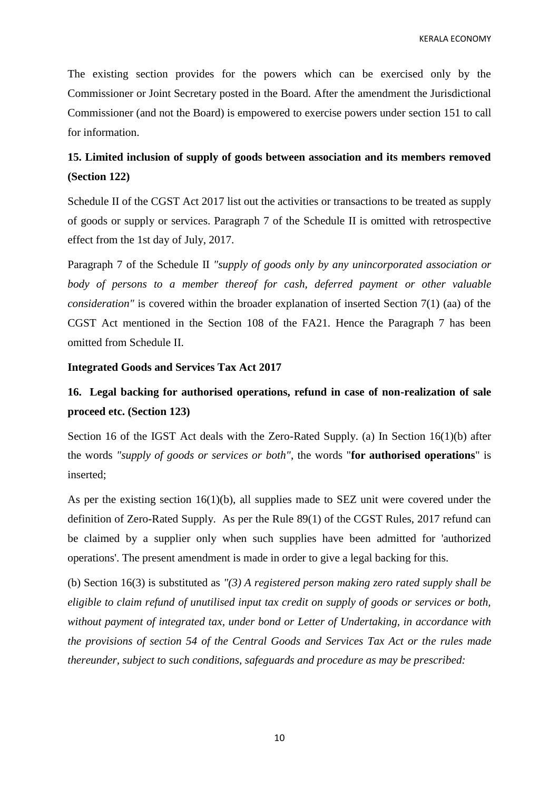The existing section provides for the powers which can be exercised only by the Commissioner or Joint Secretary posted in the Board. After the amendment the Jurisdictional Commissioner (and not the Board) is empowered to exercise powers under section 151 to call for information.

# **15. Limited inclusion of supply of goods between association and its members removed (Section 122)**

Schedule II of the CGST Act 2017 list out the activities or transactions to be treated as supply of goods or supply or services. Paragraph 7 of the Schedule II is omitted with retrospective effect from the 1st day of July, 2017.

Paragraph 7 of the Schedule II *"supply of goods only by any unincorporated association or body of persons to a member thereof for cash, deferred payment or other valuable consideration"* is covered within the broader explanation of inserted Section 7(1) (aa) of the CGST Act mentioned in the Section 108 of the FA21. Hence the Paragraph 7 has been omitted from Schedule II.

#### **Integrated Goods and Services Tax Act 2017**

## **16. Legal backing for authorised operations, refund in case of non-realization of sale proceed etc. (Section 123)**

Section 16 of the IGST Act deals with the Zero-Rated Supply. (a) In Section 16(1)(b) after the words *"supply of goods or services or both"*, the words "**for authorised operations**" is inserted;

As per the existing section 16(1)(b), all supplies made to SEZ unit were covered under the definition of Zero-Rated Supply. As per the Rule 89(1) of the CGST Rules, 2017 refund can be claimed by a supplier only when such supplies have been admitted for 'authorized operations'. The present amendment is made in order to give a legal backing for this.

(b) Section 16(3) is substituted as *"(3) A registered person making zero rated supply shall be eligible to claim refund of unutilised input tax credit on supply of goods or services or both, without payment of integrated tax, under bond or Letter of Undertaking, in accordance with the provisions of section 54 of the Central Goods and Services Tax Act or the rules made thereunder, subject to such conditions, safeguards and procedure as may be prescribed:*